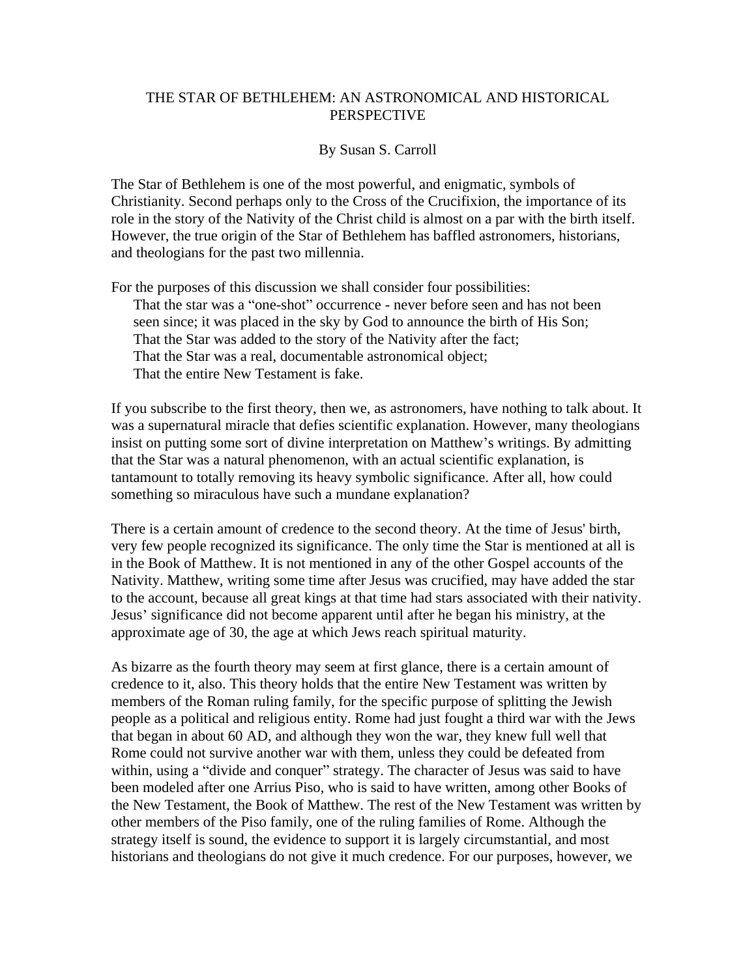## THE STAR OF BETHLEHEM: AN ASTRONOMICAL AND HISTORICAL PERSPECTIVE

## By Susan S. Carroll

The Star of Bethlehem is one of the most powerful, and enigmatic, symbols of Christianity. Second perhaps only to the Cross of the Crucifixion, the importance of its role in the story of the Nativity of the Christ child is almost on a par with the birth itself. However, the true origin of the Star of Bethlehem has baffled astronomers, historians, and theologians for the past two millennia.

For the purposes of this discussion we shall consider four possibilities: That the star was a "one-shot" occurrence - never before seen and has not been seen since; it was placed in the sky by God to announce the birth of His Son; That the Star was added to the story of the Nativity after the fact; That the Star was a real, documentable astronomical object; That the entire New Testament is fake.

If you subscribe to the first theory, then we, as astronomers, have nothing to talk about. It was a supernatural miracle that defies scientific explanation. However, many theologians insist on putting some sort of divine interpretation on Matthew's writings. By admitting that the Star was a natural phenomenon, with an actual scientific explanation, is tantamount to totally removing its heavy symbolic significance. After all, how could something so miraculous have such a mundane explanation?

There is a certain amount of credence to the second theory. At the time of Jesus' birth, very few people recognized its significance. The only time the Star is mentioned at all is in the Book of Matthew. It is not mentioned in any of the other Gospel accounts of the Nativity. Matthew, writing some time after Jesus was crucified, may have added the star to the account, because all great kings at that time had stars associated with their nativity. Jesus' significance did not become apparent until after he began his ministry, at the approximate age of 30, the age at which Jews reach spiritual maturity.

As bizarre as the fourth theory may seem at first glance, there is a certain amount of credence to it, also. This theory holds that the entire New Testament was written by members of the Roman ruling family, for the specific purpose of splitting the Jewish people as a political and religious entity. Rome had just fought a third war with the Jews that began in about 60 AD, and although they won the war, they knew full well that Rome could not survive another war with them, unless they could be defeated from within, using a "divide and conquer" strategy. The character of Jesus was said to have been modeled after one Arrius Piso, who is said to have written, among other Books of the New Testament, the Book of Matthew. The rest of the New Testament was written by other members of the Piso family, one of the ruling families of Rome. Although the strategy itself is sound, the evidence to support it is largely circumstantial, and most historians and theologians do not give it much credence. For our purposes, however, we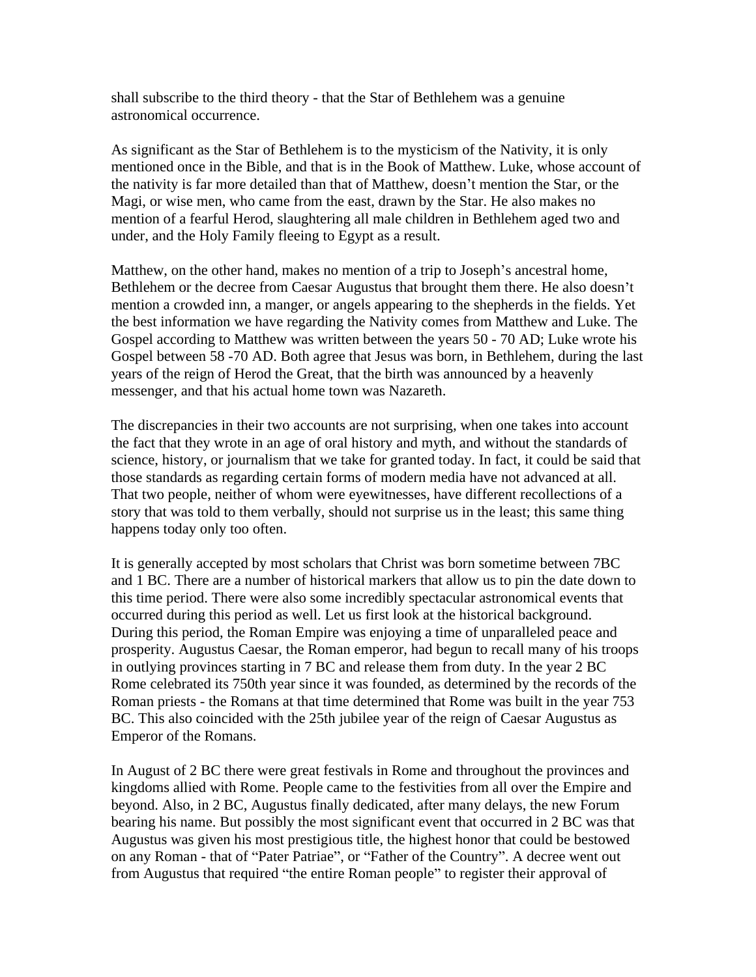shall subscribe to the third theory - that the Star of Bethlehem was a genuine astronomical occurrence.

As significant as the Star of Bethlehem is to the mysticism of the Nativity, it is only mentioned once in the Bible, and that is in the Book of Matthew. Luke, whose account of the nativity is far more detailed than that of Matthew, doesn't mention the Star, or the Magi, or wise men, who came from the east, drawn by the Star. He also makes no mention of a fearful Herod, slaughtering all male children in Bethlehem aged two and under, and the Holy Family fleeing to Egypt as a result.

Matthew, on the other hand, makes no mention of a trip to Joseph's ancestral home, Bethlehem or the decree from Caesar Augustus that brought them there. He also doesn't mention a crowded inn, a manger, or angels appearing to the shepherds in the fields. Yet the best information we have regarding the Nativity comes from Matthew and Luke. The Gospel according to Matthew was written between the years 50 - 70 AD; Luke wrote his Gospel between 58 -70 AD. Both agree that Jesus was born, in Bethlehem, during the last years of the reign of Herod the Great, that the birth was announced by a heavenly messenger, and that his actual home town was Nazareth.

The discrepancies in their two accounts are not surprising, when one takes into account the fact that they wrote in an age of oral history and myth, and without the standards of science, history, or journalism that we take for granted today. In fact, it could be said that those standards as regarding certain forms of modern media have not advanced at all. That two people, neither of whom were eyewitnesses, have different recollections of a story that was told to them verbally, should not surprise us in the least; this same thing happens today only too often.

It is generally accepted by most scholars that Christ was born sometime between 7BC and 1 BC. There are a number of historical markers that allow us to pin the date down to this time period. There were also some incredibly spectacular astronomical events that occurred during this period as well. Let us first look at the historical background. During this period, the Roman Empire was enjoying a time of unparalleled peace and prosperity. Augustus Caesar, the Roman emperor, had begun to recall many of his troops in outlying provinces starting in 7 BC and release them from duty. In the year 2 BC Rome celebrated its 750th year since it was founded, as determined by the records of the Roman priests - the Romans at that time determined that Rome was built in the year 753 BC. This also coincided with the 25th jubilee year of the reign of Caesar Augustus as Emperor of the Romans.

In August of 2 BC there were great festivals in Rome and throughout the provinces and kingdoms allied with Rome. People came to the festivities from all over the Empire and beyond. Also, in 2 BC, Augustus finally dedicated, after many delays, the new Forum bearing his name. But possibly the most significant event that occurred in 2 BC was that Augustus was given his most prestigious title, the highest honor that could be bestowed on any Roman - that of "Pater Patriae", or "Father of the Country". A decree went out from Augustus that required "the entire Roman people" to register their approval of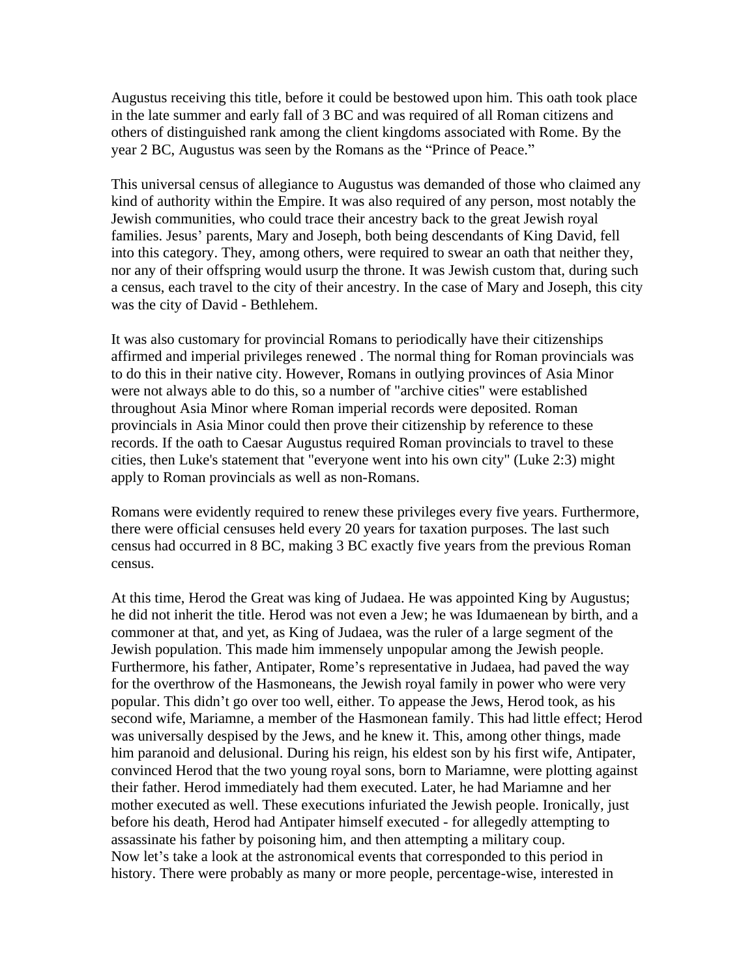Augustus receiving this title, before it could be bestowed upon him. This oath took place in the late summer and early fall of 3 BC and was required of all Roman citizens and others of distinguished rank among the client kingdoms associated with Rome. By the year 2 BC, Augustus was seen by the Romans as the "Prince of Peace."

This universal census of allegiance to Augustus was demanded of those who claimed any kind of authority within the Empire. It was also required of any person, most notably the Jewish communities, who could trace their ancestry back to the great Jewish royal families. Jesus' parents, Mary and Joseph, both being descendants of King David, fell into this category. They, among others, were required to swear an oath that neither they, nor any of their offspring would usurp the throne. It was Jewish custom that, during such a census, each travel to the city of their ancestry. In the case of Mary and Joseph, this city was the city of David - Bethlehem.

It was also customary for provincial Romans to periodically have their citizenships affirmed and imperial privileges renewed . The normal thing for Roman provincials was to do this in their native city. However, Romans in outlying provinces of Asia Minor were not always able to do this, so a number of "archive cities" were established throughout Asia Minor where Roman imperial records were deposited. Roman provincials in Asia Minor could then prove their citizenship by reference to these records. If the oath to Caesar Augustus required Roman provincials to travel to these cities, then Luke's statement that "everyone went into his own city" (Luke 2:3) might apply to Roman provincials as well as non-Romans.

Romans were evidently required to renew these privileges every five years. Furthermore, there were official censuses held every 20 years for taxation purposes. The last such census had occurred in 8 BC, making 3 BC exactly five years from the previous Roman census.

At this time, Herod the Great was king of Judaea. He was appointed King by Augustus; he did not inherit the title. Herod was not even a Jew; he was Idumaenean by birth, and a commoner at that, and yet, as King of Judaea, was the ruler of a large segment of the Jewish population. This made him immensely unpopular among the Jewish people. Furthermore, his father, Antipater, Rome's representative in Judaea, had paved the way for the overthrow of the Hasmoneans, the Jewish royal family in power who were very popular. This didn't go over too well, either. To appease the Jews, Herod took, as his second wife, Mariamne, a member of the Hasmonean family. This had little effect; Herod was universally despised by the Jews, and he knew it. This, among other things, made him paranoid and delusional. During his reign, his eldest son by his first wife, Antipater, convinced Herod that the two young royal sons, born to Mariamne, were plotting against their father. Herod immediately had them executed. Later, he had Mariamne and her mother executed as well. These executions infuriated the Jewish people. Ironically, just before his death, Herod had Antipater himself executed - for allegedly attempting to assassinate his father by poisoning him, and then attempting a military coup. Now let's take a look at the astronomical events that corresponded to this period in history. There were probably as many or more people, percentage-wise, interested in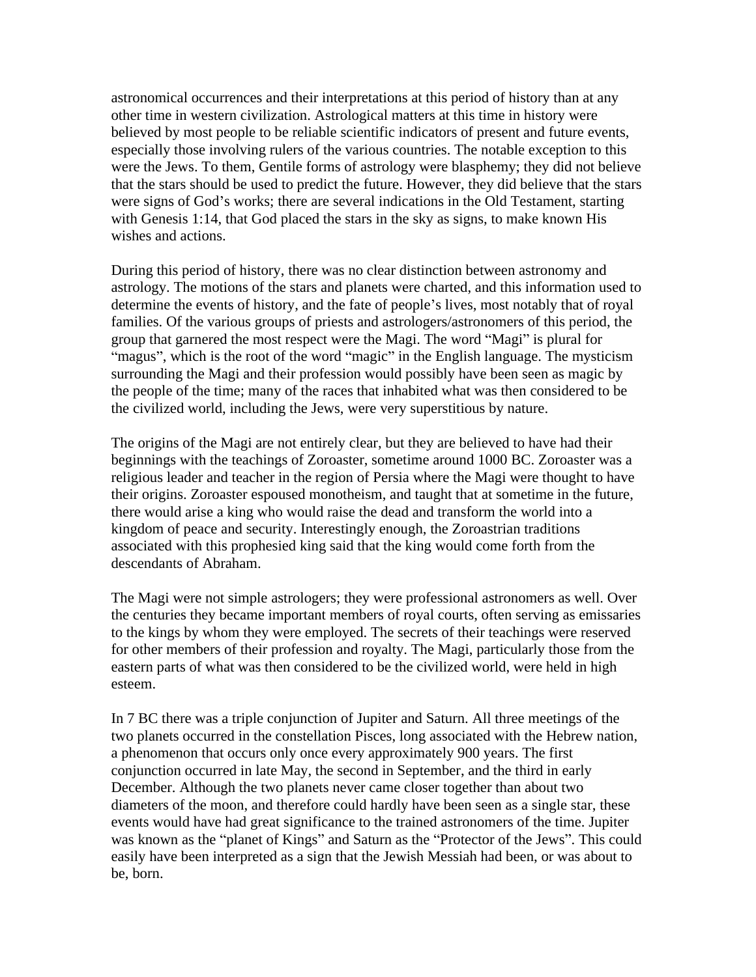astronomical occurrences and their interpretations at this period of history than at any other time in western civilization. Astrological matters at this time in history were believed by most people to be reliable scientific indicators of present and future events, especially those involving rulers of the various countries. The notable exception to this were the Jews. To them, Gentile forms of astrology were blasphemy; they did not believe that the stars should be used to predict the future. However, they did believe that the stars were signs of God's works; there are several indications in the Old Testament, starting with Genesis 1:14, that God placed the stars in the sky as signs, to make known His wishes and actions.

During this period of history, there was no clear distinction between astronomy and astrology. The motions of the stars and planets were charted, and this information used to determine the events of history, and the fate of people's lives, most notably that of royal families. Of the various groups of priests and astrologers/astronomers of this period, the group that garnered the most respect were the Magi. The word "Magi" is plural for "magus", which is the root of the word "magic" in the English language. The mysticism surrounding the Magi and their profession would possibly have been seen as magic by the people of the time; many of the races that inhabited what was then considered to be the civilized world, including the Jews, were very superstitious by nature.

The origins of the Magi are not entirely clear, but they are believed to have had their beginnings with the teachings of Zoroaster, sometime around 1000 BC. Zoroaster was a religious leader and teacher in the region of Persia where the Magi were thought to have their origins. Zoroaster espoused monotheism, and taught that at sometime in the future, there would arise a king who would raise the dead and transform the world into a kingdom of peace and security. Interestingly enough, the Zoroastrian traditions associated with this prophesied king said that the king would come forth from the descendants of Abraham.

The Magi were not simple astrologers; they were professional astronomers as well. Over the centuries they became important members of royal courts, often serving as emissaries to the kings by whom they were employed. The secrets of their teachings were reserved for other members of their profession and royalty. The Magi, particularly those from the eastern parts of what was then considered to be the civilized world, were held in high esteem.

In 7 BC there was a triple conjunction of Jupiter and Saturn. All three meetings of the two planets occurred in the constellation Pisces, long associated with the Hebrew nation, a phenomenon that occurs only once every approximately 900 years. The first conjunction occurred in late May, the second in September, and the third in early December. Although the two planets never came closer together than about two diameters of the moon, and therefore could hardly have been seen as a single star, these events would have had great significance to the trained astronomers of the time. Jupiter was known as the "planet of Kings" and Saturn as the "Protector of the Jews". This could easily have been interpreted as a sign that the Jewish Messiah had been, or was about to be, born.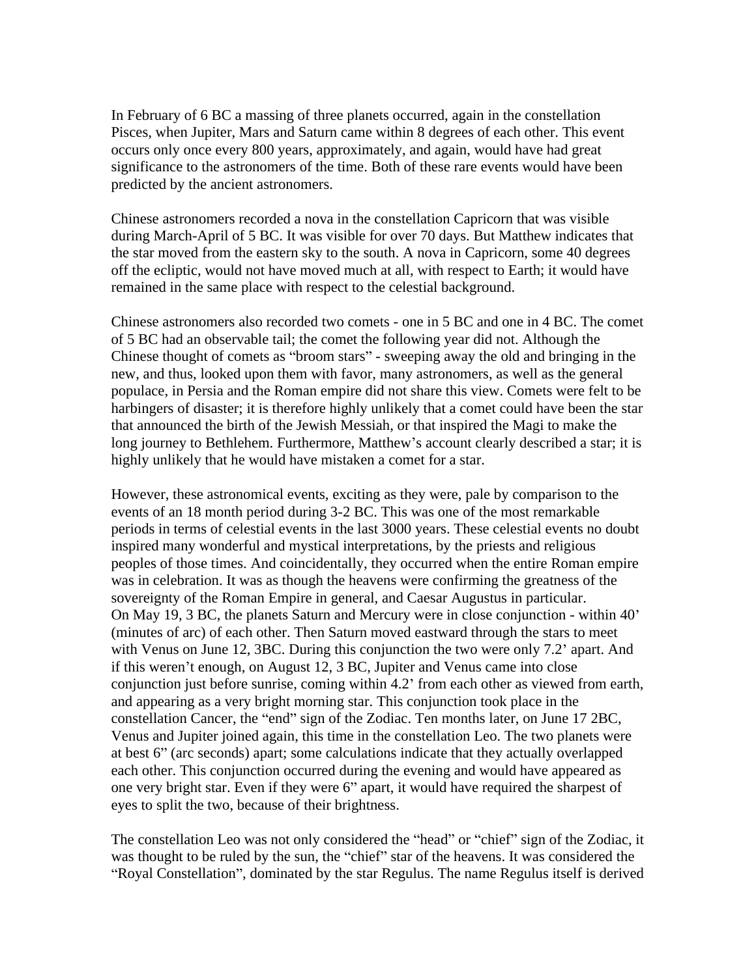In February of 6 BC a massing of three planets occurred, again in the constellation Pisces, when Jupiter, Mars and Saturn came within 8 degrees of each other. This event occurs only once every 800 years, approximately, and again, would have had great significance to the astronomers of the time. Both of these rare events would have been predicted by the ancient astronomers.

Chinese astronomers recorded a nova in the constellation Capricorn that was visible during March-April of 5 BC. It was visible for over 70 days. But Matthew indicates that the star moved from the eastern sky to the south. A nova in Capricorn, some 40 degrees off the ecliptic, would not have moved much at all, with respect to Earth; it would have remained in the same place with respect to the celestial background.

Chinese astronomers also recorded two comets - one in 5 BC and one in 4 BC. The comet of 5 BC had an observable tail; the comet the following year did not. Although the Chinese thought of comets as "broom stars" - sweeping away the old and bringing in the new, and thus, looked upon them with favor, many astronomers, as well as the general populace, in Persia and the Roman empire did not share this view. Comets were felt to be harbingers of disaster; it is therefore highly unlikely that a comet could have been the star that announced the birth of the Jewish Messiah, or that inspired the Magi to make the long journey to Bethlehem. Furthermore, Matthew's account clearly described a star; it is highly unlikely that he would have mistaken a comet for a star.

However, these astronomical events, exciting as they were, pale by comparison to the events of an 18 month period during 3-2 BC. This was one of the most remarkable periods in terms of celestial events in the last 3000 years. These celestial events no doubt inspired many wonderful and mystical interpretations, by the priests and religious peoples of those times. And coincidentally, they occurred when the entire Roman empire was in celebration. It was as though the heavens were confirming the greatness of the sovereignty of the Roman Empire in general, and Caesar Augustus in particular. On May 19, 3 BC, the planets Saturn and Mercury were in close conjunction - within 40 (minutes of arc) of each other. Then Saturn moved eastward through the stars to meet with Venus on June 12, 3BC. During this conjunction the two were only 7.2' apart. And if this weren't enough, on August 12, 3 BC, Jupiter and Venus came into close conjunction just before sunrise, coming within 4.2' from each other as viewed from earth, and appearing as a very bright morning star. This conjunction took place in the constellation Cancer, the "end" sign of the Zodiac. Ten months later, on June 17 2BC, Venus and Jupiter joined again, this time in the constellation Leo. The two planets were at best 6" (arc seconds) apart; some calculations indicate that they actually overlapped each other. This conjunction occurred during the evening and would have appeared as one very bright star. Even if they were 6" apart, it would have required the sharpest of eyes to split the two, because of their brightness.

The constellation Leo was not only considered the "head" or "chief" sign of the Zodiac, it was thought to be ruled by the sun, the "chief" star of the heavens. It was considered the "Royal Constellation", dominated by the star Regulus. The name Regulus itself is derived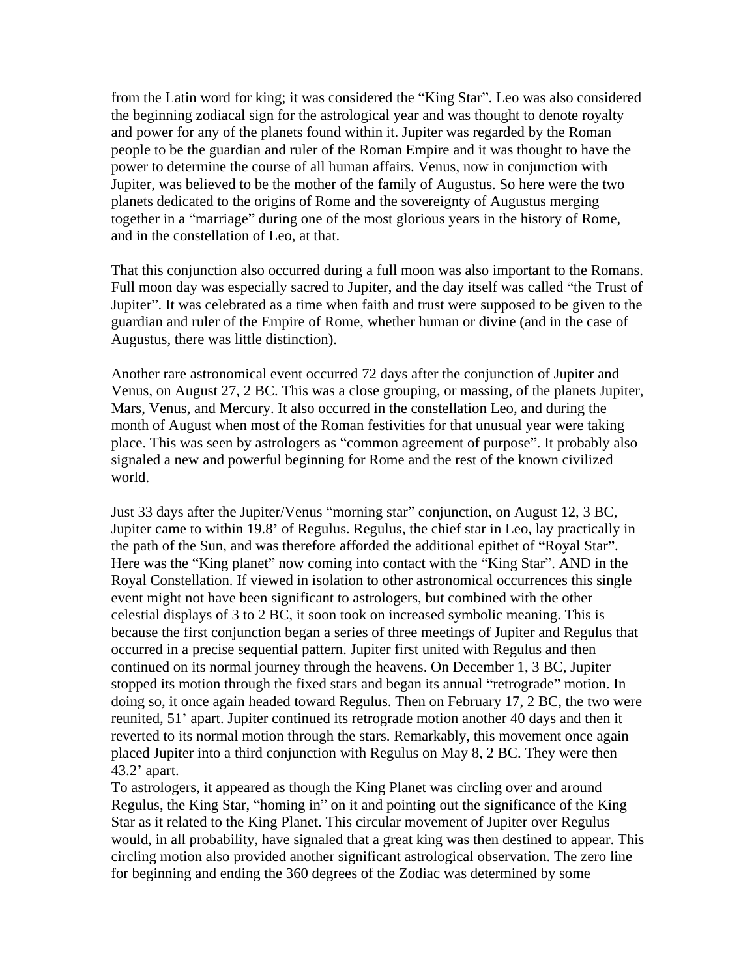from the Latin word for king; it was considered the "King Star". Leo was also considered the beginning zodiacal sign for the astrological year and was thought to denote royalty and power for any of the planets found within it. Jupiter was regarded by the Roman people to be the guardian and ruler of the Roman Empire and it was thought to have the power to determine the course of all human affairs. Venus, now in conjunction with Jupiter, was believed to be the mother of the family of Augustus. So here were the two planets dedicated to the origins of Rome and the sovereignty of Augustus merging together in a "marriage" during one of the most glorious years in the history of Rome, and in the constellation of Leo, at that.

That this conjunction also occurred during a full moon was also important to the Romans. Full moon day was especially sacred to Jupiter, and the day itself was called "the Trust of Jupiter". It was celebrated as a time when faith and trust were supposed to be given to the guardian and ruler of the Empire of Rome, whether human or divine (and in the case of Augustus, there was little distinction).

Another rare astronomical event occurred 72 days after the conjunction of Jupiter and Venus, on August 27, 2 BC. This was a close grouping, or massing, of the planets Jupiter, Mars, Venus, and Mercury. It also occurred in the constellation Leo, and during the month of August when most of the Roman festivities for that unusual year were taking place. This was seen by astrologers as "common agreement of purpose". It probably also signaled a new and powerful beginning for Rome and the rest of the known civilized world.

Just 33 days after the Jupiter/Venus "morning star" conjunction, on August 12, 3 BC,<br>Jupiter came to within 19.8' of Regulus. Regulus, the chief star in Leo, lay practically in the path of the Sun, and was therefore afforded the additional epithet of "Royal Star". Here was the "King planet" now coming into contact with the "King Star". AND in the Royal Constellation. If viewed in isolation to other astronomical occurrences this single event might not have been significant to astrologers, but combined with the other celestial displays of 3 to 2 BC, it soon took on increased symbolic meaning. This is because the first conjunction began a series of three meetings of Jupiter and Regulus that occurred in a precise sequential pattern. Jupiter first united with Regulus and then continued on its normal journey through the heavens. On December 1, 3 BC, Jupiter stopped its motion through the fixed stars and began its annual "retrograde" motion. In doing so, it once again headed toward Regulus. Then on February 17, 2 BC, the two were reunited, 51' apart. Jupiter continued its retrograde motion another 40 days and then it reverted to its normal motion through the stars. Remarkably, this movement once again placed Jupiter into a third conjunction with Regulus on May 8, 2 BC. They were then 43.2 apart.

To astrologers, it appeared as though the King Planet was circling over and around Regulus, the King Star, "homing in" on it and pointing out the significance of the King Star as it related to the King Planet. This circular movement of Jupiter over Regulus would, in all probability, have signaled that a great king was then destined to appear. This circling motion also provided another significant astrological observation. The zero line for beginning and ending the 360 degrees of the Zodiac was determined by some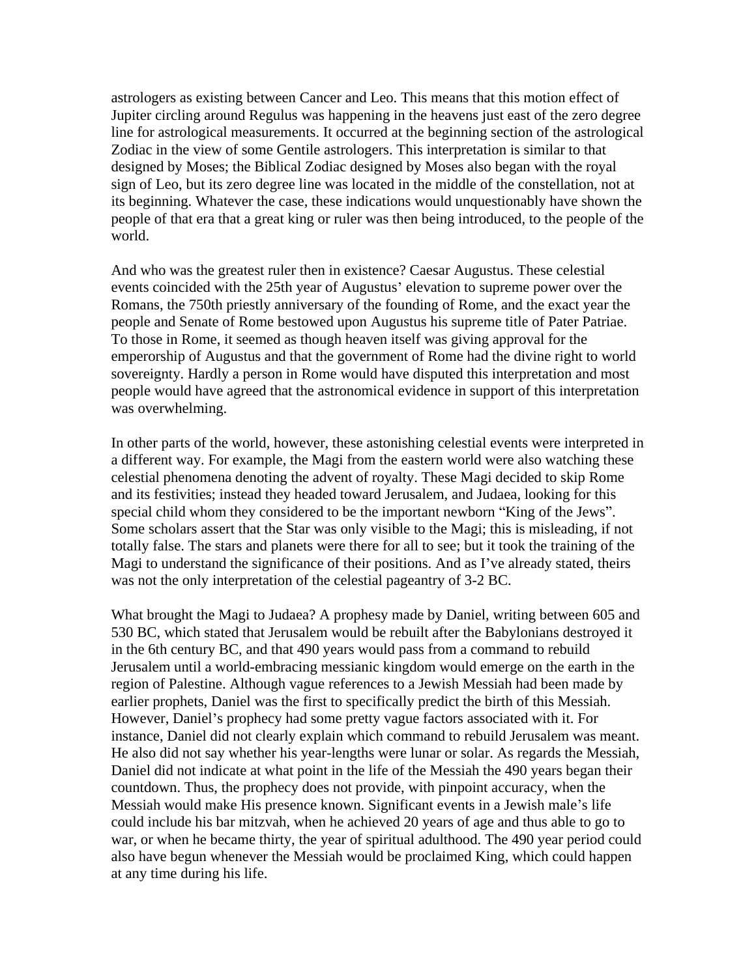astrologers as existing between Cancer and Leo. This means that this motion effect of Jupiter circling around Regulus was happening in the heavens just east of the zero degree line for astrological measurements. It occurred at the beginning section of the astrological Zodiac in the view of some Gentile astrologers. This interpretation is similar to that designed by Moses; the Biblical Zodiac designed by Moses also began with the royal sign of Leo, but its zero degree line was located in the middle of the constellation, not at its beginning. Whatever the case, these indications would unquestionably have shown the people of that era that a great king or ruler was then being introduced, to the people of the world.

And who was the greatest ruler then in existence? Caesar Augustus. These celestial events coincided with the 25th year of Augustus' elevation to supreme power over the Romans, the 750th priestly anniversary of the founding of Rome, and the exact year the people and Senate of Rome bestowed upon Augustus his supreme title of Pater Patriae. To those in Rome, it seemed as though heaven itself was giving approval for the emperorship of Augustus and that the government of Rome had the divine right to world sovereignty. Hardly a person in Rome would have disputed this interpretation and most people would have agreed that the astronomical evidence in support of this interpretation was overwhelming.

In other parts of the world, however, these astonishing celestial events were interpreted in a different way. For example, the Magi from the eastern world were also watching these celestial phenomena denoting the advent of royalty. These Magi decided to skip Rome and its festivities; instead they headed toward Jerusalem, and Judaea, looking for this special child whom they considered to be the important newborn "King of the Jews". Some scholars assert that the Star was only visible to the Magi; this is misleading, if not totally false. The stars and planets were there for all to see; but it took the training of the Magi to understand the significance of their positions. And as I've already stated, theirs was not the only interpretation of the celestial pageantry of 3-2 BC.

What brought the Magi to Judaea? A prophesy made by Daniel, writing between 605 and 530 BC, which stated that Jerusalem would be rebuilt after the Babylonians destroyed it in the 6th century BC, and that 490 years would pass from a command to rebuild Jerusalem until a world-embracing messianic kingdom would emerge on the earth in the region of Palestine. Although vague references to a Jewish Messiah had been made by earlier prophets, Daniel was the first to specifically predict the birth of this Messiah. However, Daniel's prophecy had some pretty vague factors associated with it. For instance, Daniel did not clearly explain which command to rebuild Jerusalem was meant. He also did not say whether his year-lengths were lunar or solar. As regards the Messiah, Daniel did not indicate at what point in the life of the Messiah the 490 years began their countdown. Thus, the prophecy does not provide, with pinpoint accuracy, when the Messiah would make His presence known. Significant events in a Jewish male's life could include his bar mitzvah, when he achieved 20 years of age and thus able to go to war, or when he became thirty, the year of spiritual adulthood. The 490 year period could also have begun whenever the Messiah would be proclaimed King, which could happen at any time during his life.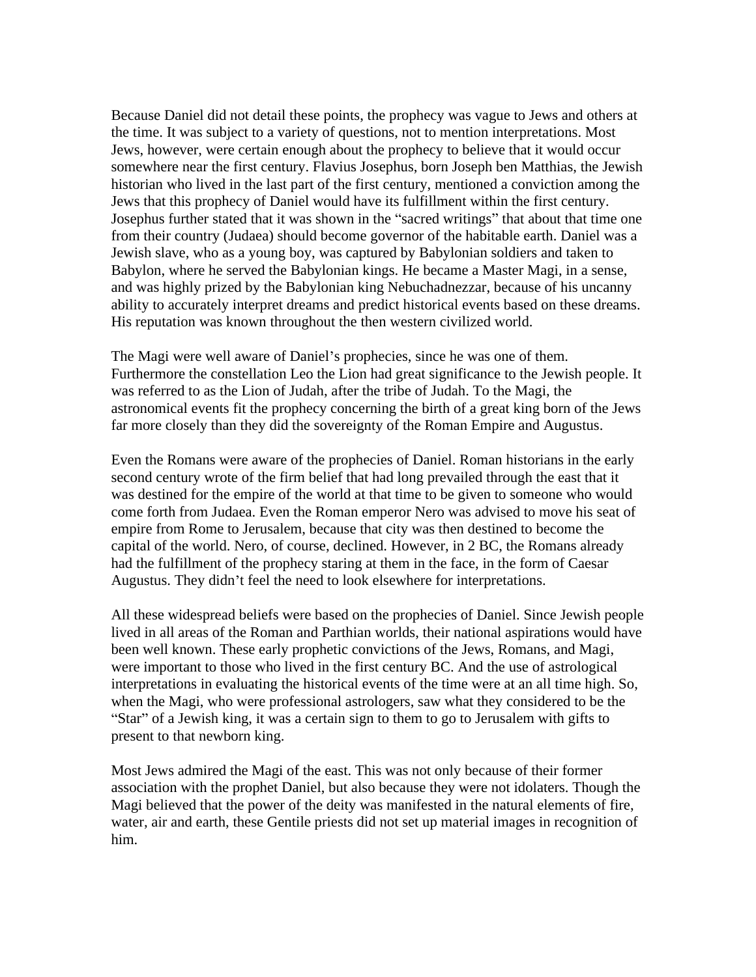Because Daniel did not detail these points, the prophecy was vague to Jews and others at the time. It was subject to a variety of questions, not to mention interpretations. Most Jews, however, were certain enough about the prophecy to believe that it would occur somewhere near the first century. Flavius Josephus, born Joseph ben Matthias, the Jewish historian who lived in the last part of the first century, mentioned a conviction among the Jews that this prophecy of Daniel would have its fulfillment within the first century. Josephus further stated that it was shown in the "sacred writings" that about that time one from their country (Judaea) should become governor of the habitable earth. Daniel was a Jewish slave, who as a young boy, was captured by Babylonian soldiers and taken to Babylon, where he served the Babylonian kings. He became a Master Magi, in a sense, and was highly prized by the Babylonian king Nebuchadnezzar, because of his uncanny ability to accurately interpret dreams and predict historical events based on these dreams. His reputation was known throughout the then western civilized world.

The Magi were well aware of Daniel's prophecies, since he was one of them. Furthermore the constellation Leo the Lion had great significance to the Jewish people. It was referred to as the Lion of Judah, after the tribe of Judah. To the Magi, the astronomical events fit the prophecy concerning the birth of a great king born of the Jews far more closely than they did the sovereignty of the Roman Empire and Augustus.

Even the Romans were aware of the prophecies of Daniel. Roman historians in the early second century wrote of the firm belief that had long prevailed through the east that it was destined for the empire of the world at that time to be given to someone who would come forth from Judaea. Even the Roman emperor Nero was advised to move his seat of empire from Rome to Jerusalem, because that city was then destined to become the capital of the world. Nero, of course, declined. However, in 2 BC, the Romans already had the fulfillment of the prophecy staring at them in the face, in the form of Caesar Augustus. They didn't feel the need to look elsewhere for interpretations.

All these widespread beliefs were based on the prophecies of Daniel. Since Jewish people lived in all areas of the Roman and Parthian worlds, their national aspirations would have been well known. These early prophetic convictions of the Jews, Romans, and Magi, were important to those who lived in the first century BC. And the use of astrological interpretations in evaluating the historical events of the time were at an all time high. So, when the Magi, who were professional astrologers, saw what they considered to be the "Star" of a Jewish king, it was a certain sign to them to go to Jerusalem with gifts to present to that newborn king.

Most Jews admired the Magi of the east. This was not only because of their former association with the prophet Daniel, but also because they were not idolaters. Though the Magi believed that the power of the deity was manifested in the natural elements of fire, water, air and earth, these Gentile priests did not set up material images in recognition of him.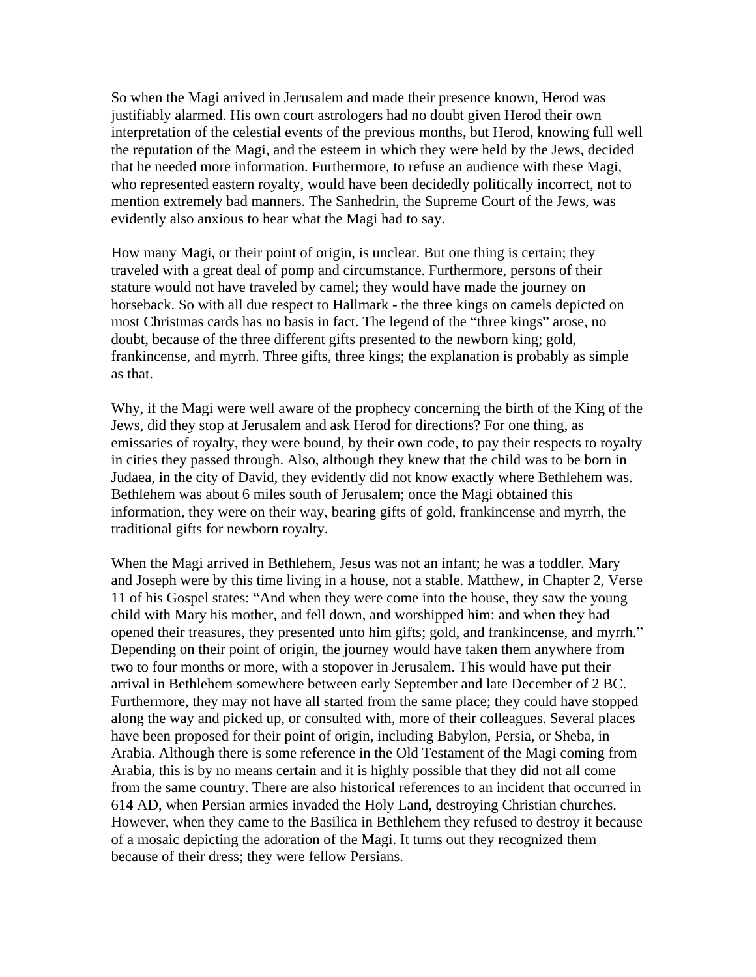So when the Magi arrived in Jerusalem and made their presence known, Herod was justifiably alarmed. His own court astrologers had no doubt given Herod their own interpretation of the celestial events of the previous months, but Herod, knowing full well the reputation of the Magi, and the esteem in which they were held by the Jews, decided that he needed more information. Furthermore, to refuse an audience with these Magi, who represented eastern royalty, would have been decidedly politically incorrect, not to mention extremely bad manners. The Sanhedrin, the Supreme Court of the Jews, was evidently also anxious to hear what the Magi had to say.

How many Magi, or their point of origin, is unclear. But one thing is certain; they traveled with a great deal of pomp and circumstance. Furthermore, persons of their stature would not have traveled by camel; they would have made the journey on horseback. So with all due respect to Hallmark - the three kings on camels depicted on most Christmas cards has no basis in fact. The legend of the "three kings" arose, no doubt, because of the three different gifts presented to the newborn king; gold, frankincense, and myrrh. Three gifts, three kings; the explanation is probably as simple as that.

Why, if the Magi were well aware of the prophecy concerning the birth of the King of the Jews, did they stop at Jerusalem and ask Herod for directions? For one thing, as emissaries of royalty, they were bound, by their own code, to pay their respects to royalty in cities they passed through. Also, although they knew that the child was to be born in Judaea, in the city of David, they evidently did not know exactly where Bethlehem was. Bethlehem was about 6 miles south of Jerusalem; once the Magi obtained this information, they were on their way, bearing gifts of gold, frankincense and myrrh, the traditional gifts for newborn royalty.

When the Magi arrived in Bethlehem, Jesus was not an infant; he was a toddler. Mary and Joseph were by this time living in a house, not a stable. Matthew, in Chapter 2, Verse 11 of his Gospel states: "And when they were come into the house, they saw the young child with Mary his mother, and fell down, and worshipped him: and when they had opened their treasures, they presented unto him gifts; gold, and frankincense, and myrrh. Depending on their point of origin, the journey would have taken them anywhere from two to four months or more, with a stopover in Jerusalem. This would have put their arrival in Bethlehem somewhere between early September and late December of 2 BC. Furthermore, they may not have all started from the same place; they could have stopped along the way and picked up, or consulted with, more of their colleagues. Several places have been proposed for their point of origin, including Babylon, Persia, or Sheba, in Arabia. Although there is some reference in the Old Testament of the Magi coming from Arabia, this is by no means certain and it is highly possible that they did not all come from the same country. There are also historical references to an incident that occurred in 614 AD, when Persian armies invaded the Holy Land, destroying Christian churches. However, when they came to the Basilica in Bethlehem they refused to destroy it because of a mosaic depicting the adoration of the Magi. It turns out they recognized them because of their dress; they were fellow Persians.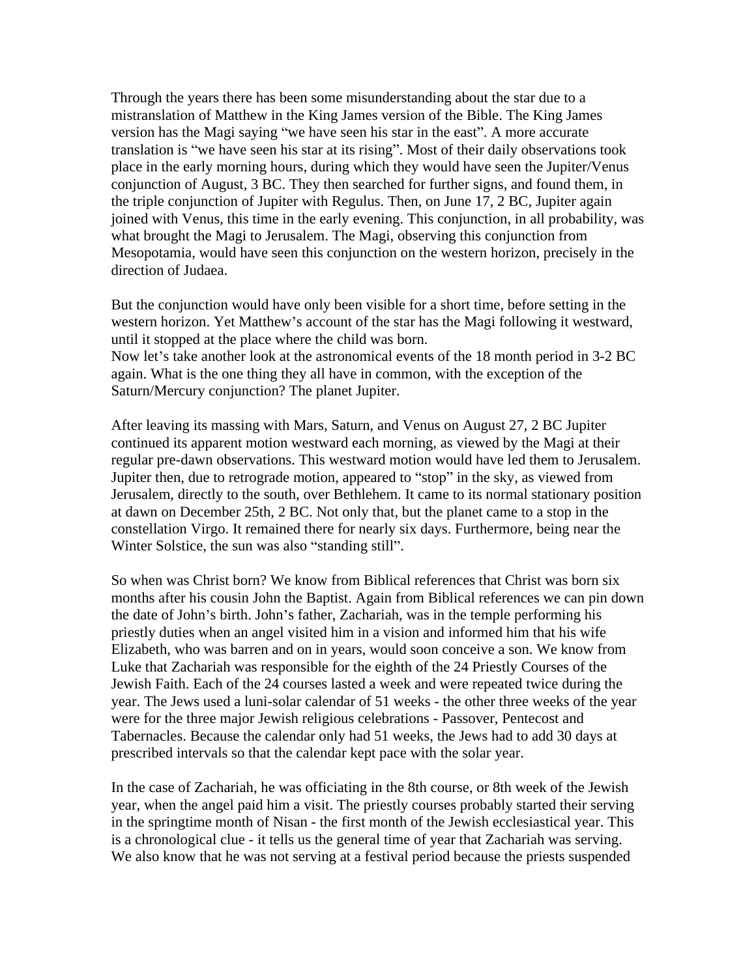Through the years there has been some misunderstanding about the star due to a mistranslation of Matthew in the King James version of the Bible. The King James version has the Magi saying "we have seen his star in the east". A more accurate translation is "we have seen his star at its rising". Most of their daily observations took place in the early morning hours, during which they would have seen the Jupiter/Venus conjunction of August, 3 BC. They then searched for further signs, and found them, in the triple conjunction of Jupiter with Regulus. Then, on June 17, 2 BC, Jupiter again joined with Venus, this time in the early evening. This conjunction, in all probability, was what brought the Magi to Jerusalem. The Magi, observing this conjunction from Mesopotamia, would have seen this conjunction on the western horizon, precisely in the direction of Judaea.

But the conjunction would have only been visible for a short time, before setting in the western horizon. Yet Matthew's account of the star has the Magi following it westward, until it stopped at the place where the child was born. Now let's take another look at the astronomical events of the 18 month period in 3-2 BC again. What is the one thing they all have in common, with the exception of the Saturn/Mercury conjunction? The planet Jupiter.

After leaving its massing with Mars, Saturn, and Venus on August 27, 2 BC Jupiter continued its apparent motion westward each morning, as viewed by the Magi at their regular pre-dawn observations. This westward motion would have led them to Jerusalem. Jupiter then, due to retrograde motion, appeared to "stop" in the sky, as viewed from Jerusalem, directly to the south, over Bethlehem. It came to its normal stationary position at dawn on December 25th, 2 BC. Not only that, but the planet came to a stop in the constellation Virgo. It remained there for nearly six days. Furthermore, being near the Winter Solstice, the sun was also "standing still".

So when was Christ born? We know from Biblical references that Christ was born six months after his cousin John the Baptist. Again from Biblical references we can pin down the date of John's birth. John's father, Zachariah, was in the temple performing his priestly duties when an angel visited him in a vision and informed him that his wife Elizabeth, who was barren and on in years, would soon conceive a son. We know from Luke that Zachariah was responsible for the eighth of the 24 Priestly Courses of the Jewish Faith. Each of the 24 courses lasted a week and were repeated twice during the year. The Jews used a luni-solar calendar of 51 weeks - the other three weeks of the year were for the three major Jewish religious celebrations - Passover, Pentecost and Tabernacles. Because the calendar only had 51 weeks, the Jews had to add 30 days at prescribed intervals so that the calendar kept pace with the solar year.

In the case of Zachariah, he was officiating in the 8th course, or 8th week of the Jewish year, when the angel paid him a visit. The priestly courses probably started their serving in the springtime month of Nisan - the first month of the Jewish ecclesiastical year. This is a chronological clue - it tells us the general time of year that Zachariah was serving. We also know that he was not serving at a festival period because the priests suspended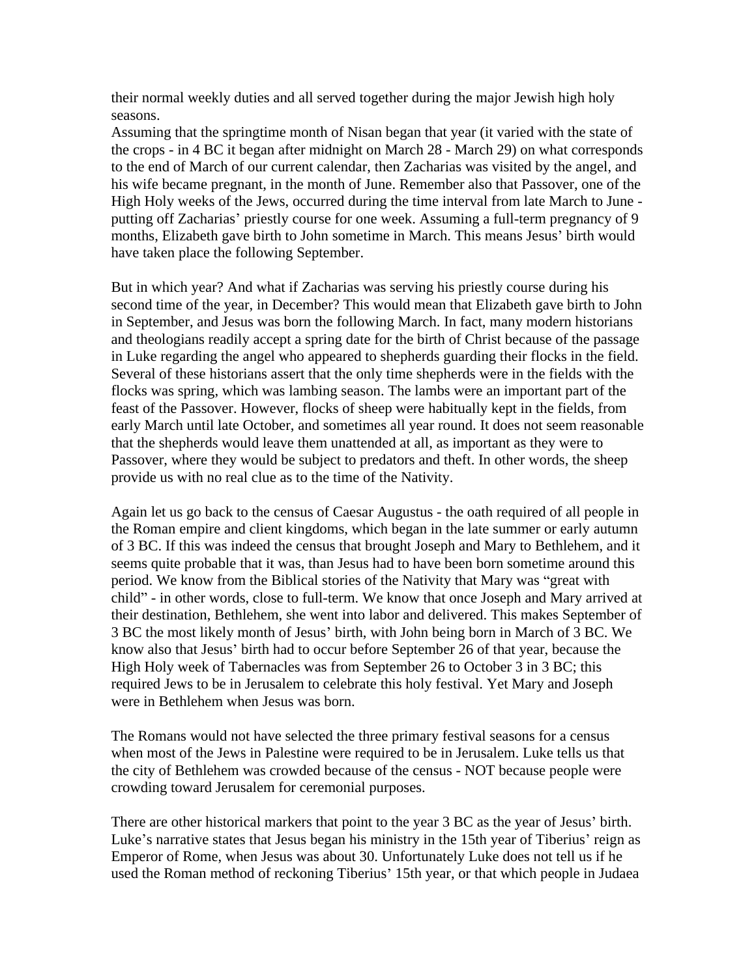their normal weekly duties and all served together during the major Jewish high holy seasons.

Assuming that the springtime month of Nisan began that year (it varied with the state of the crops - in 4 BC it began after midnight on March 28 - March 29) on what corresponds to the end of March of our current calendar, then Zacharias was visited by the angel, and his wife became pregnant, in the month of June. Remember also that Passover, one of the High Holy weeks of the Jews, occurred during the time interval from late March to June putting off Zacharias' priestly course for one week. Assuming a full-term pregnancy of 9 months, Elizabeth gave birth to John sometime in March. This means Jesus' birth would have taken place the following September.

But in which year? And what if Zacharias was serving his priestly course during his second time of the year, in December? This would mean that Elizabeth gave birth to John in September, and Jesus was born the following March. In fact, many modern historians and theologians readily accept a spring date for the birth of Christ because of the passage in Luke regarding the angel who appeared to shepherds guarding their flocks in the field. Several of these historians assert that the only time shepherds were in the fields with the flocks was spring, which was lambing season. The lambs were an important part of the feast of the Passover. However, flocks of sheep were habitually kept in the fields, from early March until late October, and sometimes all year round. It does not seem reasonable that the shepherds would leave them unattended at all, as important as they were to Passover, where they would be subject to predators and theft. In other words, the sheep provide us with no real clue as to the time of the Nativity.

Again let us go back to the census of Caesar Augustus - the oath required of all people in the Roman empire and client kingdoms, which began in the late summer or early autumn of 3 BC. If this was indeed the census that brought Joseph and Mary to Bethlehem, and it seems quite probable that it was, than Jesus had to have been born sometime around this period. We know from the Biblical stories of the Nativity that Mary was "great with child" - in other words, close to full-term. We know that once Joseph and Mary arrived at their destination, Bethlehem, she went into labor and delivered. This makes September of 3 BC the most likely month of Jesus' birth, with John being born in March of 3 BC. We know also that Jesus' birth had to occur before September 26 of that year, because the High Holy week of Tabernacles was from September 26 to October 3 in 3 BC; this required Jews to be in Jerusalem to celebrate this holy festival. Yet Mary and Joseph were in Bethlehem when Jesus was born.

The Romans would not have selected the three primary festival seasons for a census when most of the Jews in Palestine were required to be in Jerusalem. Luke tells us that the city of Bethlehem was crowded because of the census - NOT because people were crowding toward Jerusalem for ceremonial purposes.

There are other historical markers that point to the year 3 BC as the year of Jesus' birth. Luke's narrative states that Jesus began his ministry in the 15th year of Tiberius' reign as Emperor of Rome, when Jesus was about 30. Unfortunately Luke does not tell us if he used the Roman method of reckoning Tiberius' 15th year, or that which people in Judaea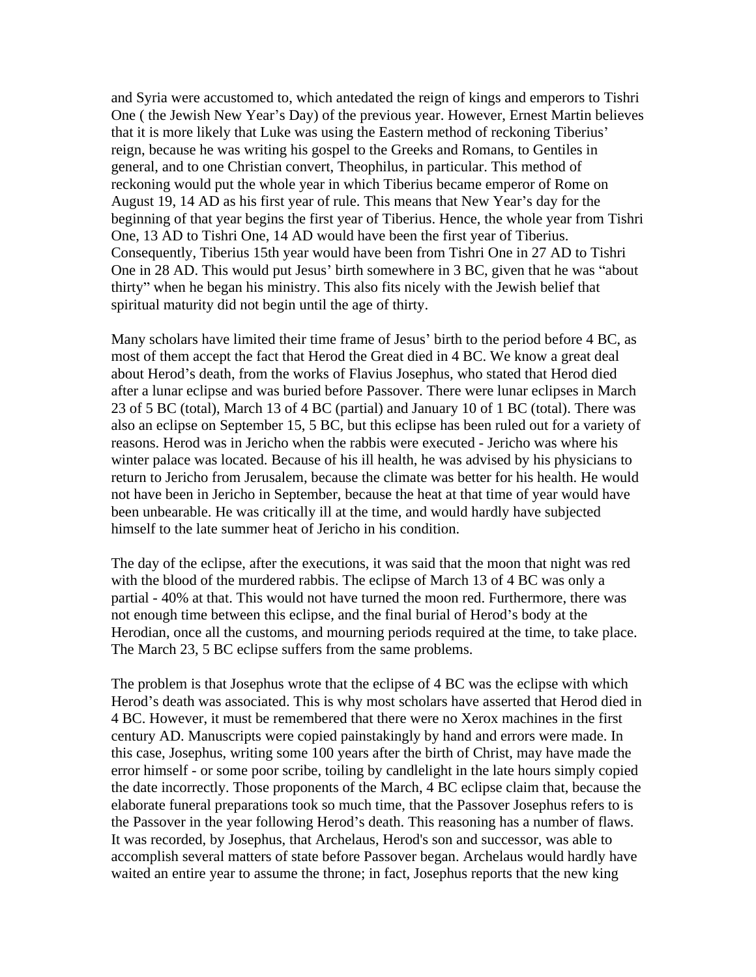and Syria were accustomed to, which antedated the reign of kings and emperors to Tishri One ( the Jewish New Year's Day) of the previous year. However, Ernest Martin believes that it is more likely that Luke was using the Eastern method of reckoning Tiberius reign, because he was writing his gospel to the Greeks and Romans, to Gentiles in general, and to one Christian convert, Theophilus, in particular. This method of reckoning would put the whole year in which Tiberius became emperor of Rome on August 19, 14 AD as his first year of rule. This means that New Year's day for the beginning of that year begins the first year of Tiberius. Hence, the whole year from Tishri One, 13 AD to Tishri One, 14 AD would have been the first year of Tiberius. Consequently, Tiberius 15th year would have been from Tishri One in 27 AD to Tishri One in 28 AD. This would put Jesus' birth somewhere in 3 BC, given that he was "about thirty when he began his ministry. This also fits nicely with the Jewish belief that spiritual maturity did not begin until the age of thirty.

Many scholars have limited their time frame of Jesus' birth to the period before 4 BC, as most of them accept the fact that Herod the Great died in 4 BC. We know a great deal about Herod's death, from the works of Flavius Josephus, who stated that Herod died after a lunar eclipse and was buried before Passover. There were lunar eclipses in March 23 of 5 BC (total), March 13 of 4 BC (partial) and January 10 of 1 BC (total). There was also an eclipse on September 15, 5 BC, but this eclipse has been ruled out for a variety of reasons. Herod was in Jericho when the rabbis were executed - Jericho was where his winter palace was located. Because of his ill health, he was advised by his physicians to return to Jericho from Jerusalem, because the climate was better for his health. He would not have been in Jericho in September, because the heat at that time of year would have been unbearable. He was critically ill at the time, and would hardly have subjected himself to the late summer heat of Jericho in his condition.

The day of the eclipse, after the executions, it was said that the moon that night was red with the blood of the murdered rabbis. The eclipse of March 13 of 4 BC was only a partial - 40% at that. This would not have turned the moon red. Furthermore, there was not enough time between this eclipse, and the final burial of Herod's body at the Herodian, once all the customs, and mourning periods required at the time, to take place. The March 23, 5 BC eclipse suffers from the same problems.

The problem is that Josephus wrote that the eclipse of 4 BC was the eclipse with which Herod's death was associated. This is why most scholars have asserted that Herod died in 4 BC. However, it must be remembered that there were no Xerox machines in the first century AD. Manuscripts were copied painstakingly by hand and errors were made. In this case, Josephus, writing some 100 years after the birth of Christ, may have made the error himself - or some poor scribe, toiling by candlelight in the late hours simply copied the date incorrectly. Those proponents of the March, 4 BC eclipse claim that, because the elaborate funeral preparations took so much time, that the Passover Josephus refers to is the Passover in the year following Herod's death. This reasoning has a number of flaws. It was recorded, by Josephus, that Archelaus, Herod's son and successor, was able to accomplish several matters of state before Passover began. Archelaus would hardly have waited an entire year to assume the throne; in fact, Josephus reports that the new king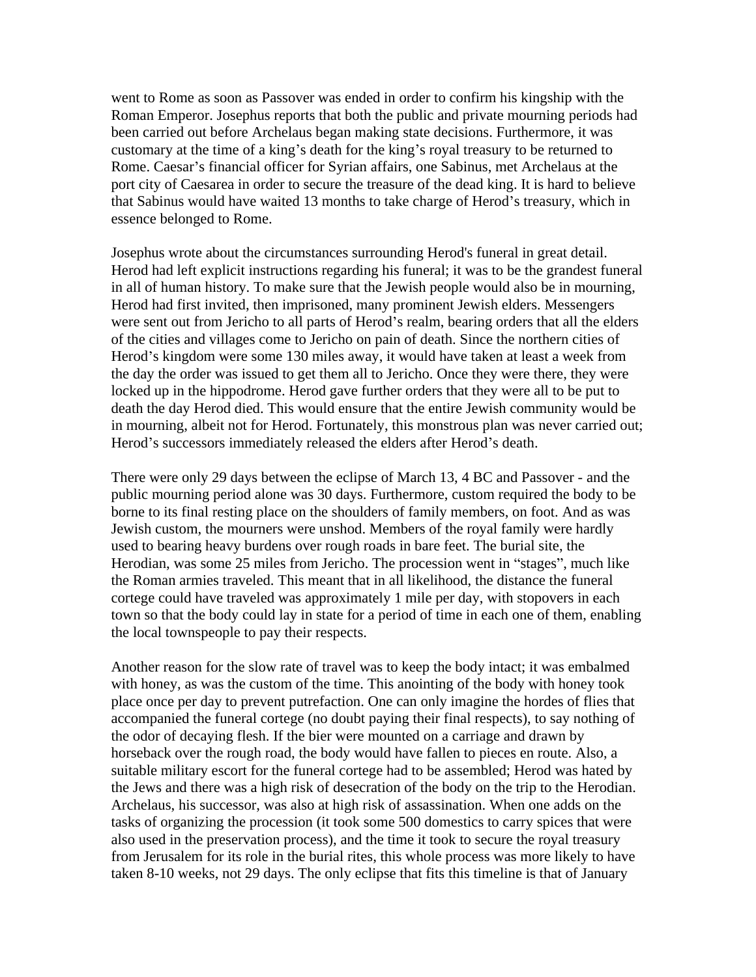went to Rome as soon as Passover was ended in order to confirm his kingship with the Roman Emperor. Josephus reports that both the public and private mourning periods had been carried out before Archelaus began making state decisions. Furthermore, it was customary at the time of a king's death for the king's royal treasury to be returned to Rome. Caesar's financial officer for Syrian affairs, one Sabinus, met Archelaus at the port city of Caesarea in order to secure the treasure of the dead king. It is hard to believe that Sabinus would have waited 13 months to take charge of Herod's treasury, which in essence belonged to Rome.

Josephus wrote about the circumstances surrounding Herod's funeral in great detail. Herod had left explicit instructions regarding his funeral; it was to be the grandest funeral in all of human history. To make sure that the Jewish people would also be in mourning, Herod had first invited, then imprisoned, many prominent Jewish elders. Messengers were sent out from Jericho to all parts of Herod's realm, bearing orders that all the elders of the cities and villages come to Jericho on pain of death. Since the northern cities of Herod's kingdom were some 130 miles away, it would have taken at least a week from the day the order was issued to get them all to Jericho. Once they were there, they were locked up in the hippodrome. Herod gave further orders that they were all to be put to death the day Herod died. This would ensure that the entire Jewish community would be in mourning, albeit not for Herod. Fortunately, this monstrous plan was never carried out; Herod's successors immediately released the elders after Herod's death.

There were only 29 days between the eclipse of March 13, 4 BC and Passover - and the public mourning period alone was 30 days. Furthermore, custom required the body to be borne to its final resting place on the shoulders of family members, on foot. And as was Jewish custom, the mourners were unshod. Members of the royal family were hardly used to bearing heavy burdens over rough roads in bare feet. The burial site, the Herodian, was some 25 miles from Jericho. The procession went in "stages", much like the Roman armies traveled. This meant that in all likelihood, the distance the funeral cortege could have traveled was approximately 1 mile per day, with stopovers in each town so that the body could lay in state for a period of time in each one of them, enabling the local townspeople to pay their respects.

Another reason for the slow rate of travel was to keep the body intact; it was embalmed with honey, as was the custom of the time. This anointing of the body with honey took place once per day to prevent putrefaction. One can only imagine the hordes of flies that accompanied the funeral cortege (no doubt paying their final respects), to say nothing of the odor of decaying flesh. If the bier were mounted on a carriage and drawn by horseback over the rough road, the body would have fallen to pieces en route. Also, a suitable military escort for the funeral cortege had to be assembled; Herod was hated by the Jews and there was a high risk of desecration of the body on the trip to the Herodian. Archelaus, his successor, was also at high risk of assassination. When one adds on the tasks of organizing the procession (it took some 500 domestics to carry spices that were also used in the preservation process), and the time it took to secure the royal treasury from Jerusalem for its role in the burial rites, this whole process was more likely to have taken 8-10 weeks, not 29 days. The only eclipse that fits this timeline is that of January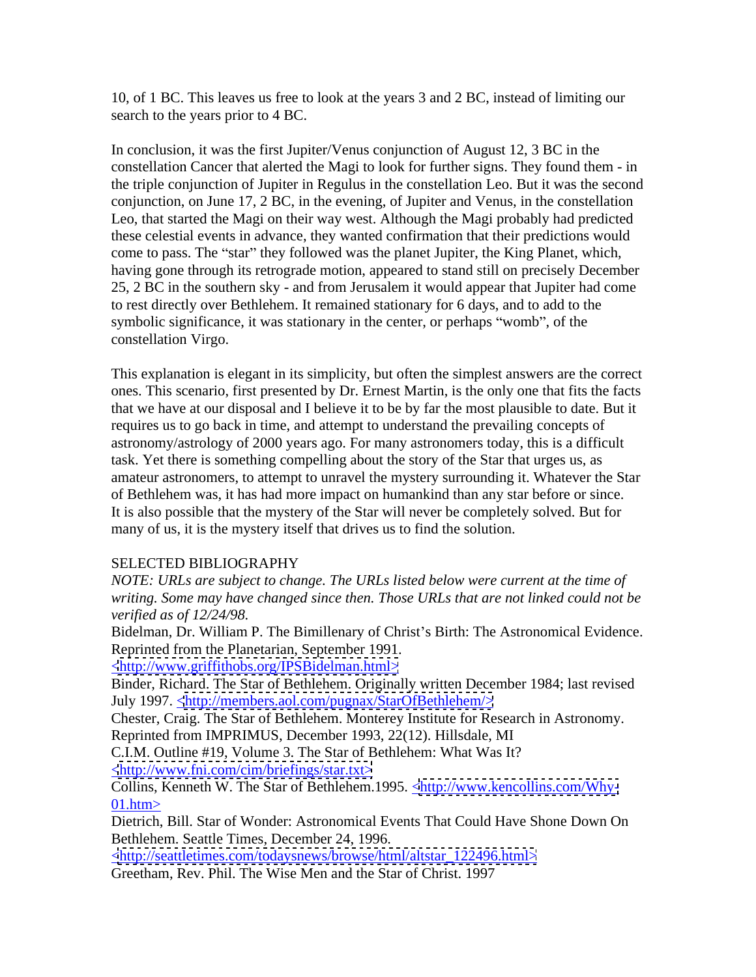10, of 1 BC. This leaves us free to look at the years 3 and 2 BC, instead of limiting our search to the years prior to 4 BC.

In conclusion, it was the first Jupiter/Venus conjunction of August 12, 3 BC in the constellation Cancer that alerted the Magi to look for further signs. They found them - in the triple conjunction of Jupiter in Regulus in the constellation Leo. But it was the second conjunction, on June 17, 2 BC, in the evening, of Jupiter and Venus, in the constellation Leo, that started the Magi on their way west. Although the Magi probably had predicted these celestial events in advance, they wanted confirmation that their predictions would come to pass. The "star" they followed was the planet Jupiter, the King Planet, which, having gone through its retrograde motion, appeared to stand still on precisely December 25, 2 BC in the southern sky - and from Jerusalem it would appear that Jupiter had come to rest directly over Bethlehem. It remained stationary for 6 days, and to add to the symbolic significance, it was stationary in the center, or perhaps "womb", of the constellation Virgo.

This explanation is elegant in its simplicity, but often the simplest answers are the correct ones. This scenario, first presented by Dr. Ernest Martin, is the only one that fits the facts that we have at our disposal and I believe it to be by far the most plausible to date. But it requires us to go back in time, and attempt to understand the prevailing concepts of astronomy/astrology of 2000 years ago. For many astronomers today, this is a difficult task. Yet there is something compelling about the story of the Star that urges us, as amateur astronomers, to attempt to unravel the mystery surrounding it. Whatever the Star of Bethlehem was, it has had more impact on humankind than any star before or since. It is also possible that the mystery of the Star will never be completely solved. But for many of us, it is the mystery itself that drives us to find the solution.

## SELECTED BIBLIOGRAPHY

*NOTE: URLs are subject to change. The URLs listed below were current at the time of writing. Some may have changed since then. Those URLs that are not linked could not be verified as of 12/24/98.*

Bidelman, Dr. William P. The Bimillenary of Christ's Birth: The Astronomical Evidence. Reprinted from the Planetarian, September 1991.

[<http://www.griffithobs.org/IPSBidelman.html>](http://www.griffithobs.org/IPSBidelman.html>)

Binder, Richard. The Star of Bethlehem. Originally written December 1984; last revised July 1997. [<http://members.aol.com/pugnax/StarOfBethlehem/>](http://members.aol.com/pugnax/StarOfBethlehem/>)

Chester, Craig. The Star of Bethlehem. Monterey Institute for Research in Astronomy. Reprinted from IMPRIMUS, December 1993, 22(12). Hillsdale, MI

C.I.M. Outline #19, Volume 3. The Star of Bethlehem: What Was It? [<http://www.fni.com/cim/briefings/star.txt>](http://www.fni.com/cim/briefings/star.txt>)

Collins, Kenneth W. The Star of Bethlehem.1995. [<http://www.kencollins.com/Why-](http://www.kencollins.com/Why-)  $\frac{01. \text{htm}}{2}$ 

Dietrich, Bill. Star of Wonder: Astronomical Events That Could Have Shone Down On Bethlehem. Seattle Times, December 24, 1996.

[<http://seattletimes.com/todaysnews/browse/html/altstar\\_122496.html>](http://seattletimes.com/todaysnews/browse/html/altstar_122496.html>) Greetham, Rev. Phil. The Wise Men and the Star of Christ. 1997